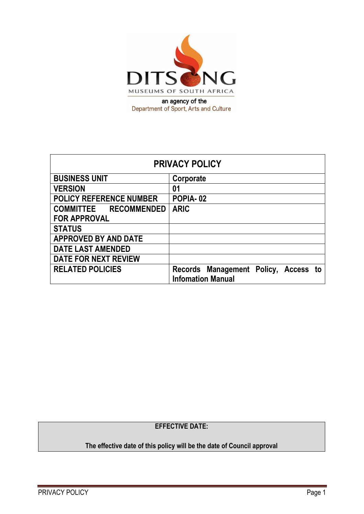

| <b>PRIVACY POLICY</b>          |                                      |  |
|--------------------------------|--------------------------------------|--|
| <b>BUSINESS UNIT</b>           | Corporate                            |  |
| <b>VERSION</b>                 | 01                                   |  |
| <b>POLICY REFERENCE NUMBER</b> | POPIA-02                             |  |
| <b>COMMITTEE RECOMMENDED</b>   | <b>ARIC</b>                          |  |
| <b>FOR APPROVAL</b>            |                                      |  |
| <b>STATUS</b>                  |                                      |  |
| <b>APPROVED BY AND DATE</b>    |                                      |  |
| <b>DATE LAST AMENDED</b>       |                                      |  |
| <b>DATE FOR NEXT REVIEW</b>    |                                      |  |
| <b>RELATED POLICIES</b>        | Records Management Policy, Access to |  |
|                                | <b>Infomation Manual</b>             |  |

## **EFFECTIVE DATE:**

# **The effective date of this policy will be the date of Council approval**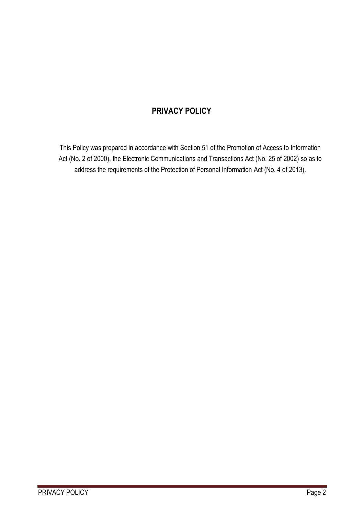# **PRIVACY POLICY**

This Policy was prepared in accordance with Section 51 of the Promotion of Access to Information Act (No. 2 of 2000), the Electronic Communications and Transactions Act (No. 25 of 2002) so as to address the requirements of the Protection of Personal Information Act (No. 4 of 2013).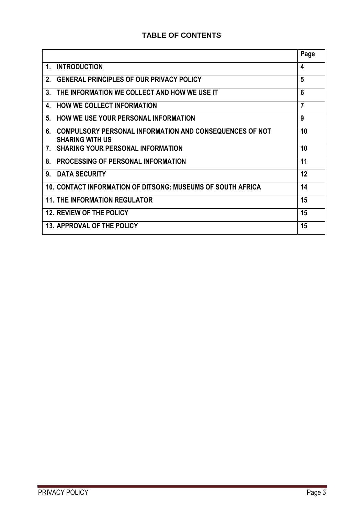## **TABLE OF CONTENTS**

|                                                                                                | Page           |
|------------------------------------------------------------------------------------------------|----------------|
| <b>INTRODUCTION</b><br>$\mathbf 1$ .                                                           | 4              |
| <b>GENERAL PRINCIPLES OF OUR PRIVACY POLICY</b><br>$2_{-}$                                     | 5              |
| THE INFORMATION WE COLLECT AND HOW WE USE IT<br>3.                                             | 6              |
| <b>HOW WE COLLECT INFORMATION</b><br>4.                                                        | $\overline{7}$ |
| <b>HOW WE USE YOUR PERSONAL INFORMATION</b><br>5.                                              | 9              |
| 6.<br><b>COMPULSORY PERSONAL INFORMATION AND CONSEQUENCES OF NOT</b><br><b>SHARING WITH US</b> | 10             |
| <b>SHARING YOUR PERSONAL INFORMATION</b><br>$7_{\scriptscriptstyle{\sim}}$                     | 10             |
| 8.<br><b>PROCESSING OF PERSONAL INFORMATION</b>                                                | 11             |
| <b>DATA SECURITY</b><br>9.                                                                     | 12             |
| 10. CONTACT INFORMATION OF DITSONG: MUSEUMS OF SOUTH AFRICA                                    | 14             |
| <b>11. THE INFORMATION REGULATOR</b>                                                           | 15             |
| <b>12. REVIEW OF THE POLICY</b>                                                                | 15             |
| 13. APPROVAL OF THE POLICY                                                                     | 15             |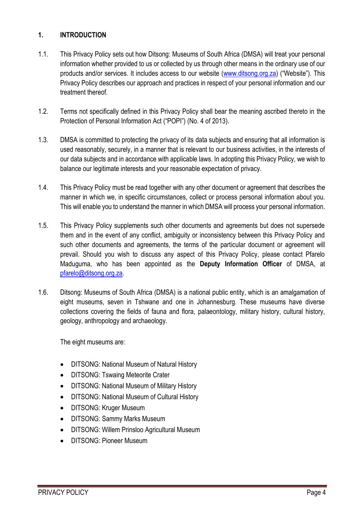## **1. INTRODUCTION**

- 1.1. This Privacy Policy sets out how Ditsong: Museums of South Africa (DMSA) will treat your personal information whether provided to us or collected by us through other means in the ordinary use of our products and/or services. It includes access to our website [\(www.ditsong.org.za\)](http://www.ditsong.org.za/) ("Website"). This Privacy Policy describes our approach and practices in respect of your personal information and our treatment thereof.
- 1.2. Terms not specifically defined in this Privacy Policy shall bear the meaning ascribed thereto in the Protection of Personal Information Act ("POPI") (No. 4 of 2013).
- 1.3. DMSA is committed to protecting the privacy of its data subjects and ensuring that all information is used reasonably, securely, in a manner that is relevant to our business activities, in the interests of our data subjects and in accordance with applicable laws. In adopting this Privacy Policy, we wish to balance our legitimate interests and your reasonable expectation of privacy.
- 1.4. This Privacy Policy must be read together with any other document or agreement that describes the manner in which we, in specific circumstances, collect or process personal information about you. This will enable you to understand the manner in which DMSA will process your personal information.
- 1.5. This Privacy Policy supplements such other documents and agreements but does not supersede them and in the event of any conflict, ambiguity or inconsistency between this Privacy Policy and such other documents and agreements, the terms of the particular document or agreement will prevail. Should you wish to discuss any aspect of this Privacy Policy, please contact Pfarelo Maduguma, who has been appointed as the **Deputy Information Officer** of DMSA, at [pfarelo@ditsong.org.za.](mailto:pfarelo@ditsong.org.za)
- 1.6. Ditsong: Museums of South Africa (DMSA) is a national public entity, which is an amalgamation of eight museums, seven in Tshwane and one in Johannesburg. These museums have diverse collections covering the fields of fauna and flora, palaeontology, military history, cultural history, geology, anthropology and archaeology.

The eight museums are:

- DITSONG: National Museum of Natural History
- **DITSONG: Tswaing Meteorite Crater**
- DITSONG: National Museum of Military History
- DITSONG: National Museum of Cultural History
- **DITSONG: Kruger Museum**
- DITSONG: Sammy Marks Museum
- DITSONG: Willem Prinsloo Agricultural Museum
- DITSONG: Pioneer Museum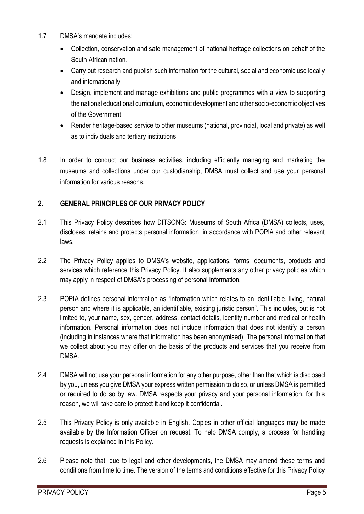- 1.7 DMSA's mandate includes:
	- Collection, conservation and safe management of national heritage collections on behalf of the South African nation.
	- Carry out research and publish such information for the cultural, social and economic use locally and internationally.
	- Design, implement and manage exhibitions and public programmes with a view to supporting the national educational curriculum, economic development and other socio-economic objectives of the Government.
	- Render heritage-based service to other museums (national, provincial, local and private) as well as to individuals and tertiary institutions.
- 1.8 In order to conduct our business activities, including efficiently managing and marketing the museums and collections under our custodianship, DMSA must collect and use your personal information for various reasons.

## **2. GENERAL PRINCIPLES OF OUR PRIVACY POLICY**

- 2.1 This Privacy Policy describes how DITSONG: Museums of South Africa (DMSA) collects, uses, discloses, retains and protects personal information, in accordance with POPIA and other relevant laws.
- 2.2 The Privacy Policy applies to DMSA's website, applications, forms, documents, products and services which reference this Privacy Policy. It also supplements any other privacy policies which may apply in respect of DMSA's processing of personal information.
- 2.3 POPIA defines personal information as "information which relates to an identifiable, living, natural person and where it is applicable, an identifiable, existing juristic person". This includes, but is not limited to, your name, sex, gender, address, contact details, identity number and medical or health information. Personal information does not include information that does not identify a person (including in instances where that information has been anonymised). The personal information that we collect about you may differ on the basis of the products and services that you receive from DMSA.
- 2.4 DMSA will not use your personal information for any other purpose, other than that which is disclosed by you, unless you give DMSA your express written permission to do so, or unless DMSA is permitted or required to do so by law. DMSA respects your privacy and your personal information, for this reason, we will take care to protect it and keep it confidential.
- 2.5 This Privacy Policy is only available in English. Copies in other official languages may be made available by the Information Officer on request. To help DMSA comply, a process for handling requests is explained in this Policy.
- 2.6 Please note that, due to legal and other developments, the DMSA may amend these terms and conditions from time to time. The version of the terms and conditions effective for this Privacy Policy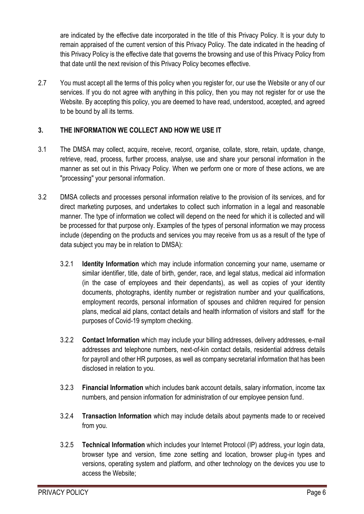are indicated by the effective date incorporated in the title of this Privacy Policy. It is your duty to remain appraised of the current version of this Privacy Policy. The date indicated in the heading of this Privacy Policy is the effective date that governs the browsing and use of this Privacy Policy from that date until the next revision of this Privacy Policy becomes effective.

2.7 You must accept all the terms of this policy when you register for, our use the Website or any of our services. If you do not agree with anything in this policy, then you may not register for or use the Website. By accepting this policy, you are deemed to have read, understood, accepted, and agreed to be bound by all its terms.

## **3. THE INFORMATION WE COLLECT AND HOW WE USE IT**

- 3.1 The DMSA may collect, acquire, receive, record, organise, collate, store, retain, update, change, retrieve, read, process, further process, analyse, use and share your personal information in the manner as set out in this Privacy Policy. When we perform one or more of these actions, we are "processing" your personal information.
- 3.2 DMSA collects and processes personal information relative to the provision of its services, and for direct marketing purposes, and undertakes to collect such information in a legal and reasonable manner. The type of information we collect will depend on the need for which it is collected and will be processed for that purpose only. Examples of the types of personal information we may process include (depending on the products and services you may receive from us as a result of the type of data subject you may be in relation to DMSA):
	- 3.2.1 **Identity Information** which may include information concerning your name, username or similar identifier, title, date of birth, gender, race, and legal status, medical aid information (in the case of employees and their dependants), as well as copies of your identity documents, photographs, identity number or registration number and your qualifications, employment records, personal information of spouses and children required for pension plans, medical aid plans, contact details and health information of visitors and staff for the purposes of Covid-19 symptom checking.
	- 3.2.2 **Contact Information** which may include your billing addresses, delivery addresses, e-mail addresses and telephone numbers, next-of-kin contact details, residential address details for payroll and other HR purposes, as well as company secretarial information that has been disclosed in relation to you.
	- 3.2.3 **Financial Information** which includes bank account details, salary information, income tax numbers, and pension information for administration of our employee pension fund.
	- 3.2.4 **Transaction Information** which may include details about payments made to or received from you.
	- 3.2.5 **Technical Information** which includes your Internet Protocol (IP) address, your login data, browser type and version, time zone setting and location, browser plug-in types and versions, operating system and platform, and other technology on the devices you use to access the Website;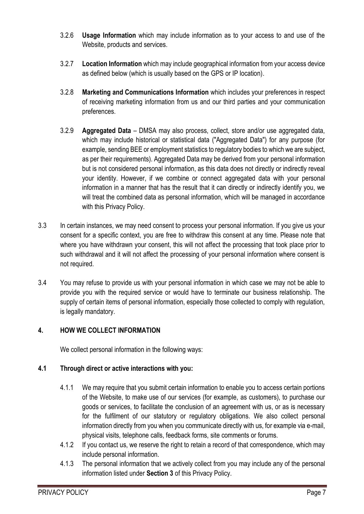- 3.2.6 **Usage Information** which may include information as to your access to and use of the Website, products and services.
- 3.2.7 **Location Information** which may include geographical information from your access device as defined below (which is usually based on the GPS or IP location).
- 3.2.8 **Marketing and Communications Information** which includes your preferences in respect of receiving marketing information from us and our third parties and your communication preferences.
- 3.2.9 **Aggregated Data** DMSA may also process, collect, store and/or use aggregated data, which may include historical or statistical data ("Aggregated Data") for any purpose (for example, sending BEE or employment statistics to regulatory bodies to which we are subject, as per their requirements). Aggregated Data may be derived from your personal information but is not considered personal information, as this data does not directly or indirectly reveal your identity. However, if we combine or connect aggregated data with your personal information in a manner that has the result that it can directly or indirectly identify you, we will treat the combined data as personal information, which will be managed in accordance with this Privacy Policy.
- 3.3 In certain instances, we may need consent to process your personal information. If you give us your consent for a specific context, you are free to withdraw this consent at any time. Please note that where you have withdrawn your consent, this will not affect the processing that took place prior to such withdrawal and it will not affect the processing of your personal information where consent is not required.
- 3.4 You may refuse to provide us with your personal information in which case we may not be able to provide you with the required service or would have to terminate our business relationship. The supply of certain items of personal information, especially those collected to comply with regulation, is legally mandatory.

## **4. HOW WE COLLECT INFORMATION**

We collect personal information in the following ways:

## **4.1 Through direct or active interactions with you:**

- 4.1.1 We may require that you submit certain information to enable you to access certain portions of the Website, to make use of our services (for example, as customers), to purchase our goods or services, to facilitate the conclusion of an agreement with us, or as is necessary for the fulfilment of our statutory or regulatory obligations. We also collect personal information directly from you when you communicate directly with us, for example via e-mail, physical visits, telephone calls, feedback forms, site comments or forums.
- 4.1.2 If you contact us, we reserve the right to retain a record of that correspondence, which may include personal information.
- 4.1.3 The personal information that we actively collect from you may include any of the personal information listed under **Section 3** of this Privacy Policy.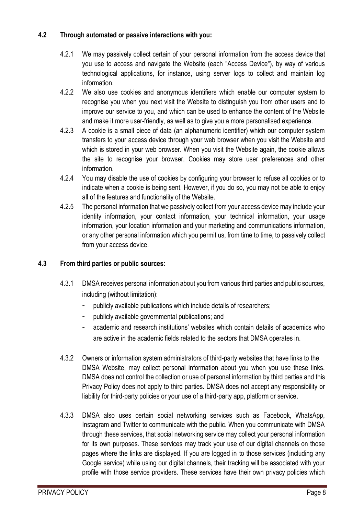## **4.2 Through automated or passive interactions with you:**

- 4.2.1 We may passively collect certain of your personal information from the access device that you use to access and navigate the Website (each "Access Device"), by way of various technological applications, for instance, using server logs to collect and maintain log information.
- 4.2.2 We also use cookies and anonymous identifiers which enable our computer system to recognise you when you next visit the Website to distinguish you from other users and to improve our service to you, and which can be used to enhance the content of the Website and make it more user-friendly, as well as to give you a more personalised experience.
- 4.2.3 A cookie is a small piece of data (an alphanumeric identifier) which our computer system transfers to your access device through your web browser when you visit the Website and which is stored in your web browser. When you visit the Website again, the cookie allows the site to recognise your browser. Cookies may store user preferences and other information.
- 4.2.4 You may disable the use of cookies by configuring your browser to refuse all cookies or to indicate when a cookie is being sent. However, if you do so, you may not be able to enjoy all of the features and functionality of the Website.
- 4.2.5 The personal information that we passively collect from your access device may include your identity information, your contact information, your technical information, your usage information, your location information and your marketing and communications information, or any other personal information which you permit us, from time to time, to passively collect from your access device.

## **4.3 From third parties or public sources:**

- 4.3.1 DMSA receives personal information about you from various third parties and public sources, including (without limitation):
	- publicly available publications which include details of researchers;
	- publicly available governmental publications; and
	- academic and research institutions' websites which contain details of academics who are active in the academic fields related to the sectors that DMSA operates in.
- 4.3.2 Owners or information system administrators of third-party websites that have links to the DMSA Website, may collect personal information about you when you use these links. DMSA does not control the collection or use of personal information by third parties and this Privacy Policy does not apply to third parties. DMSA does not accept any responsibility or liability for third-party policies or your use of a third-party app, platform or service.
- 4.3.3 DMSA also uses certain social networking services such as Facebook, WhatsApp, Instagram and Twitter to communicate with the public. When you communicate with DMSA through these services, that social networking service may collect your personal information for its own purposes. These services may track your use of our digital channels on those pages where the links are displayed. If you are logged in to those services (including any Google service) while using our digital channels, their tracking will be associated with your profile with those service providers. These services have their own privacy policies which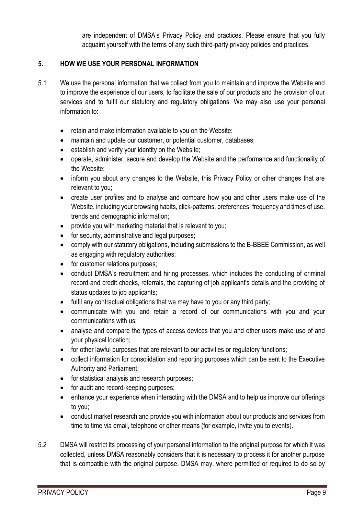are independent of DMSA's Privacy Policy and practices. Please ensure that you fully acquaint yourself with the terms of any such third-party privacy policies and practices.

## **5. HOW WE USE YOUR PERSONAL INFORMATION**

- 5.1 We use the personal information that we collect from you to maintain and improve the Website and to improve the experience of our users, to facilitate the sale of our products and the provision of our services and to fulfil our statutory and regulatory obligations. We may also use your personal information to:
	- retain and make information available to you on the Website;
	- maintain and update our customer, or potential customer, databases;
	- establish and verify your identity on the Website;
	- operate, administer, secure and develop the Website and the performance and functionality of the Website;
	- inform you about any changes to the Website, this Privacy Policy or other changes that are relevant to you;
	- create user profiles and to analyse and compare how you and other users make use of the Website, including your browsing habits, click-patterns, preferences, frequency and times of use, trends and demographic information;
	- provide you with marketing material that is relevant to you;
	- for security, administrative and legal purposes;
	- comply with our statutory obligations, including submissions to the B-BBEE Commission, as well as engaging with regulatory authorities;
	- for customer relations purposes;
	- conduct DMSA's recruitment and hiring processes, which includes the conducting of criminal record and credit checks, referrals, the capturing of job applicant's details and the providing of status updates to job applicants;
	- fulfil any contractual obligations that we may have to you or any third party;
	- communicate with you and retain a record of our communications with you and your communications with us;
	- analyse and compare the types of access devices that you and other users make use of and your physical location;
	- for other lawful purposes that are relevant to our activities or regulatory functions;
	- collect information for consolidation and reporting purposes which can be sent to the Executive Authority and Parliament;
	- for statistical analysis and research purposes;
	- for audit and record-keeping purposes;
	- enhance your experience when interacting with the DMSA and to help us improve our offerings to you;
	- conduct market research and provide you with information about our products and services from time to time via email, telephone or other means (for example, invite you to events).
- 5.2 DMSA will restrict its processing of your personal information to the original purpose for which it was collected, unless DMSA reasonably considers that it is necessary to process it for another purpose that is compatible with the original purpose. DMSA may, where permitted or required to do so by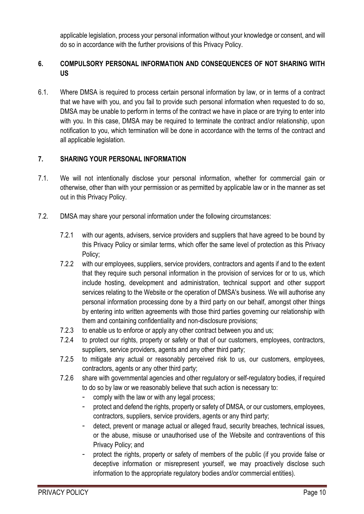applicable legislation, process your personal information without your knowledge or consent, and will do so in accordance with the further provisions of this Privacy Policy.

## **6. COMPULSORY PERSONAL INFORMATION AND CONSEQUENCES OF NOT SHARING WITH US**

6.1. Where DMSA is required to process certain personal information by law, or in terms of a contract that we have with you, and you fail to provide such personal information when requested to do so, DMSA may be unable to perform in terms of the contract we have in place or are trying to enter into with you. In this case, DMSA may be required to terminate the contract and/or relationship, upon notification to you, which termination will be done in accordance with the terms of the contract and all applicable legislation.

## **7. SHARING YOUR PERSONAL INFORMATION**

- 7.1. We will not intentionally disclose your personal information, whether for commercial gain or otherwise, other than with your permission or as permitted by applicable law or in the manner as set out in this Privacy Policy.
- 7.2. DMSA may share your personal information under the following circumstances:
	- 7.2.1 with our agents, advisers, service providers and suppliers that have agreed to be bound by this Privacy Policy or similar terms, which offer the same level of protection as this Privacy Policy;
	- 7.2.2 with our employees, suppliers, service providers, contractors and agents if and to the extent that they require such personal information in the provision of services for or to us, which include hosting, development and administration, technical support and other support services relating to the Website or the operation of DMSA's business. We will authorise any personal information processing done by a third party on our behalf, amongst other things by entering into written agreements with those third parties governing our relationship with them and containing confidentiality and non-disclosure provisions;
	- 7.2.3 to enable us to enforce or apply any other contract between you and us;
	- 7.2.4 to protect our rights, property or safety or that of our customers, employees, contractors, suppliers, service providers, agents and any other third party;
	- 7.2.5 to mitigate any actual or reasonably perceived risk to us, our customers, employees, contractors, agents or any other third party;
	- 7.2.6 share with governmental agencies and other regulatory or self-regulatory bodies, if required to do so by law or we reasonably believe that such action is necessary to:
		- comply with the law or with any legal process;
		- protect and defend the rights, property or safety of DMSA, or our customers, employees, contractors, suppliers, service providers, agents or any third party;
		- detect, prevent or manage actual or alleged fraud, security breaches, technical issues, or the abuse, misuse or unauthorised use of the Website and contraventions of this Privacy Policy; and
		- protect the rights, property or safety of members of the public (if you provide false or deceptive information or misrepresent yourself, we may proactively disclose such information to the appropriate regulatory bodies and/or commercial entities).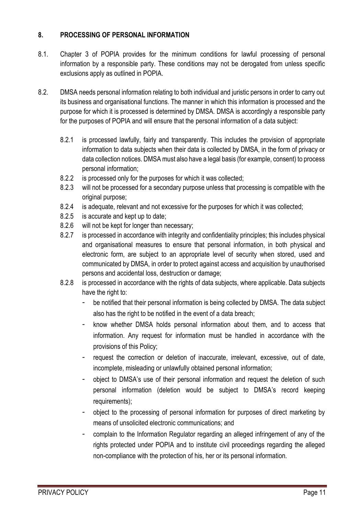## **8. PROCESSING OF PERSONAL INFORMATION**

- 8.1. Chapter 3 of POPIA provides for the minimum conditions for lawful processing of personal information by a responsible party. These conditions may not be derogated from unless specific exclusions apply as outlined in POPIA.
- 8.2. DMSA needs personal information relating to both individual and juristic persons in order to carry out its business and organisational functions. The manner in which this information is processed and the purpose for which it is processed is determined by DMSA. DMSA is accordingly a responsible party for the purposes of POPIA and will ensure that the personal information of a data subject:
	- 8.2.1 is processed lawfully, fairly and transparently. This includes the provision of appropriate information to data subjects when their data is collected by DMSA, in the form of privacy or data collection notices. DMSA must also have a legal basis (for example, consent) to process personal information;
	- 8.2.2 is processed only for the purposes for which it was collected;
	- 8.2.3 will not be processed for a secondary purpose unless that processing is compatible with the original purpose;
	- 8.2.4 is adequate, relevant and not excessive for the purposes for which it was collected;
	- 8.2.5 is accurate and kept up to date;
	- 8.2.6 will not be kept for longer than necessary;
	- 8.2.7 is processed in accordance with integrity and confidentiality principles; this includes physical and organisational measures to ensure that personal information, in both physical and electronic form, are subject to an appropriate level of security when stored, used and communicated by DMSA, in order to protect against access and acquisition by unauthorised persons and accidental loss, destruction or damage;
	- 8.2.8 is processed in accordance with the rights of data subjects, where applicable. Data subjects have the right to:
		- be notified that their personal information is being collected by DMSA. The data subject also has the right to be notified in the event of a data breach;
		- know whether DMSA holds personal information about them, and to access that information. Any request for information must be handled in accordance with the provisions of this Policy;
		- request the correction or deletion of inaccurate, irrelevant, excessive, out of date, incomplete, misleading or unlawfully obtained personal information;
		- object to DMSA's use of their personal information and request the deletion of such personal information (deletion would be subject to DMSA's record keeping requirements);
		- object to the processing of personal information for purposes of direct marketing by means of unsolicited electronic communications; and
		- complain to the Information Regulator regarding an alleged infringement of any of the rights protected under POPIA and to institute civil proceedings regarding the alleged non-compliance with the protection of his, her or its personal information.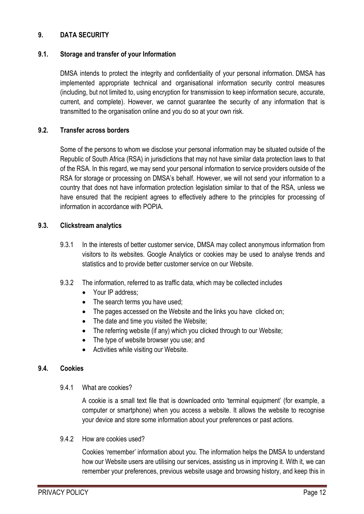## **9. DATA SECURITY**

#### **9.1. Storage and transfer of your Information**

DMSA intends to protect the integrity and confidentiality of your personal information. DMSA has implemented appropriate technical and organisational information security control measures (including, but not limited to, using encryption for transmission to keep information secure, accurate, current, and complete). However, we cannot guarantee the security of any information that is transmitted to the organisation online and you do so at your own risk.

#### **9.2. Transfer across borders**

Some of the persons to whom we disclose your personal information may be situated outside of the Republic of South Africa (RSA) in jurisdictions that may not have similar data protection laws to that of the RSA. In this regard, we may send your personal information to service providers outside of the RSA for storage or processing on DMSA's behalf. However, we will not send your information to a country that does not have information protection legislation similar to that of the RSA, unless we have ensured that the recipient agrees to effectively adhere to the principles for processing of information in accordance with POPIA.

#### **9.3. Clickstream analytics**

- 9.3.1 In the interests of better customer service, DMSA may collect anonymous information from visitors to its websites. Google Analytics or cookies may be used to analyse trends and statistics and to provide better customer service on our Website.
- 9.3.2 The information, referred to as traffic data, which may be collected includes
	- Your IP address:
	- The search terms you have used;
	- The pages accessed on the Website and the links you have clicked on;
	- The date and time you visited the Website;
	- The referring website (if any) which you clicked through to our Website;
	- The type of website browser you use; and
	- Activities while visiting our Website.

#### **9.4. Cookies**

#### 9.4.1 What are cookies?

A cookie is a small text file that is downloaded onto 'terminal equipment' (for example, a computer or smartphone) when you access a website. It allows the website to recognise your device and store some information about your preferences or past actions.

#### 9.4.2 How are cookies used?

Cookies 'remember' information about you. The information helps the DMSA to understand how our Website users are utilising our services, assisting us in improving it. With it, we can remember your preferences, previous website usage and browsing history, and keep this in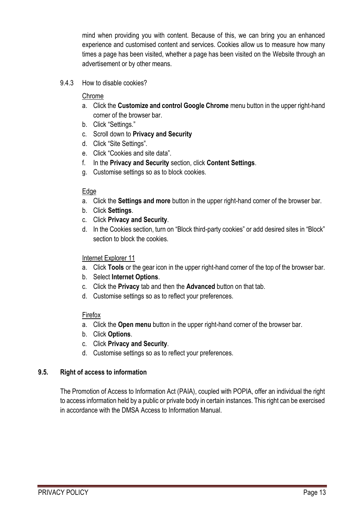mind when providing you with content. Because of this, we can bring you an enhanced experience and customised content and services. Cookies allow us to measure how many times a page has been visited, whether a page has been visited on the Website through an advertisement or by other means.

9.4.3 How to disable cookies?

### Chrome

- a. Click the **Customize and control Google Chrome** menu button in the upper right-hand corner of the browser bar.
- b. Click "Settings."
- c. Scroll down to **Privacy and Security**
- d. Click "Site Settings".
- e. Click "Cookies and site data".
- f. In the **Privacy and Security** section, click **Content Settings**.
- g. Customise settings so as to block cookies.

## **Edge**

- a. Click the **Settings and more** button in the upper right-hand corner of the browser bar.
- b. Click **Settings**.
- c. Click **Privacy and Security**.
- d. In the Cookies section, turn on "Block third-party cookies" or add desired sites in "Block" section to block the cookies.

## Internet Explorer 11

- a. Click **Tools** or the gear icon in the upper right-hand corner of the top of the browser bar.
- b. Select **Internet Options**.
- c. Click the **Privacy** tab and then the **Advanced** button on that tab.
- d. Customise settings so as to reflect your preferences.

## Firefox

- a. Click the **Open menu** button in the upper right-hand corner of the browser bar.
- b. Click **Options**.
- c. Click **Privacy and Security**.
- d. Customise settings so as to reflect your preferences.

## **9.5. Right of access to information**

The Promotion of Access to Information Act (PAIA), coupled with POPIA, offer an individual the right to access information held by a public or private body in certain instances. This right can be exercised in accordance with the DMSA Access to Information Manual.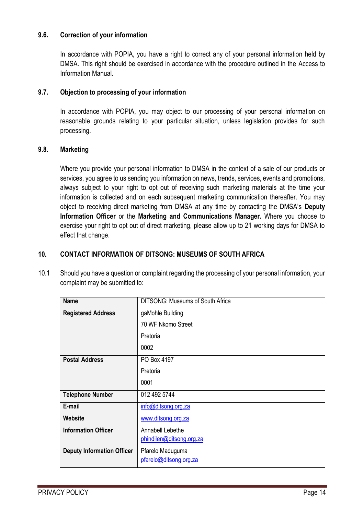#### **9.6. Correction of your information**

In accordance with POPIA, you have a right to correct any of your personal information held by DMSA. This right should be exercised in accordance with the procedure outlined in the Access to Information Manual.

## **9.7. Objection to processing of your information**

In accordance with POPIA, you may object to our processing of your personal information on reasonable grounds relating to your particular situation, unless legislation provides for such processing.

#### **9.8. Marketing**

Where you provide your personal information to DMSA in the context of a sale of our products or services, you agree to us sending you information on news, trends, services, events and promotions, always subject to your right to opt out of receiving such marketing materials at the time your information is collected and on each subsequent marketing communication thereafter. You may object to receiving direct marketing from DMSA at any time by contacting the DMSA's **Deputy Information Officer** or the **Marketing and Communications Manager.** Where you choose to exercise your right to opt out of direct marketing, please allow up to 21 working days for DMSA to effect that change.

## **10. CONTACT INFORMATION OF DITSONG: MUSEUMS OF SOUTH AFRICA**

10.1 Should you have a question or complaint regarding the processing of your personal information, your complaint may be submitted to:

| <b>Name</b>                       | <b>DITSONG: Museums of South Africa</b> |
|-----------------------------------|-----------------------------------------|
| <b>Registered Address</b>         | gaMohle Building                        |
|                                   | 70 WF Nkomo Street                      |
|                                   | Pretoria                                |
|                                   | 0002                                    |
| <b>Postal Address</b>             | PO Box 4197                             |
|                                   | Pretoria                                |
|                                   | 0001                                    |
| <b>Telephone Number</b>           | 012 492 5744                            |
| E-mail                            | info@ditsong.org.za                     |
| Website                           | www.ditsong.org.za                      |
| <b>Information Officer</b>        | Annabell Lebethe                        |
|                                   | phindilen@ditsong.org.za                |
| <b>Deputy Information Officer</b> | Pfarelo Maduguma                        |
|                                   | pfarelo@ditsong.org.za                  |